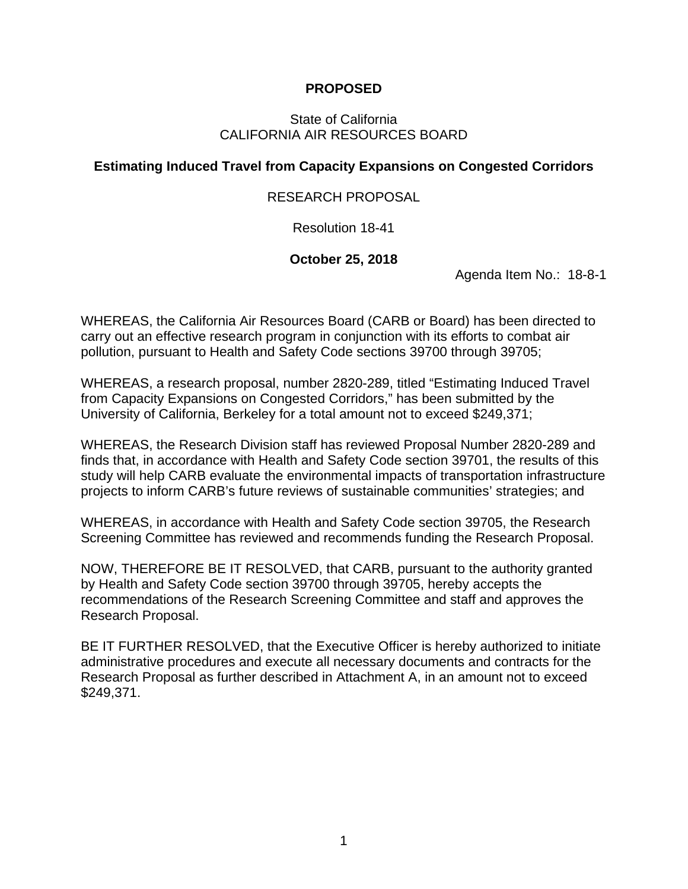## **PROPOSED**

#### State of California CALIFORNIA AIR RESOURCES BOARD

## **Estimating Induced Travel from Capacity Expansions on Congested Corridors**

## RESEARCH PROPOSAL

## Resolution 18-41

## **October 25, 2018**

Agenda Item No.: 18-8-1

WHEREAS, the California Air Resources Board (CARB or Board) has been directed to carry out an effective research program in conjunction with its efforts to combat air pollution, pursuant to Health and Safety Code sections 39700 through 39705;

WHEREAS, a research proposal, number 2820-289, titled "Estimating Induced Travel from Capacity Expansions on Congested Corridors," has been submitted by the University of California, Berkeley for a total amount not to exceed \$249,371;

WHEREAS, the Research Division staff has reviewed Proposal Number 2820-289 and finds that, in accordance with Health and Safety Code section 39701, the results of this study will help CARB evaluate the environmental impacts of transportation infrastructure projects to inform CARB's future reviews of sustainable communities' strategies; and

WHEREAS, in accordance with Health and Safety Code section 39705, the Research Screening Committee has reviewed and recommends funding the Research Proposal.

NOW, THEREFORE BE IT RESOLVED, that CARB, pursuant to the authority granted by Health and Safety Code section 39700 through 39705, hereby accepts the recommendations of the Research Screening Committee and staff and approves the Research Proposal.

BE IT FURTHER RESOLVED, that the Executive Officer is hereby authorized to initiate administrative procedures and execute all necessary documents and contracts for the Research Proposal as further described in Attachment A, in an amount not to exceed \$249,371.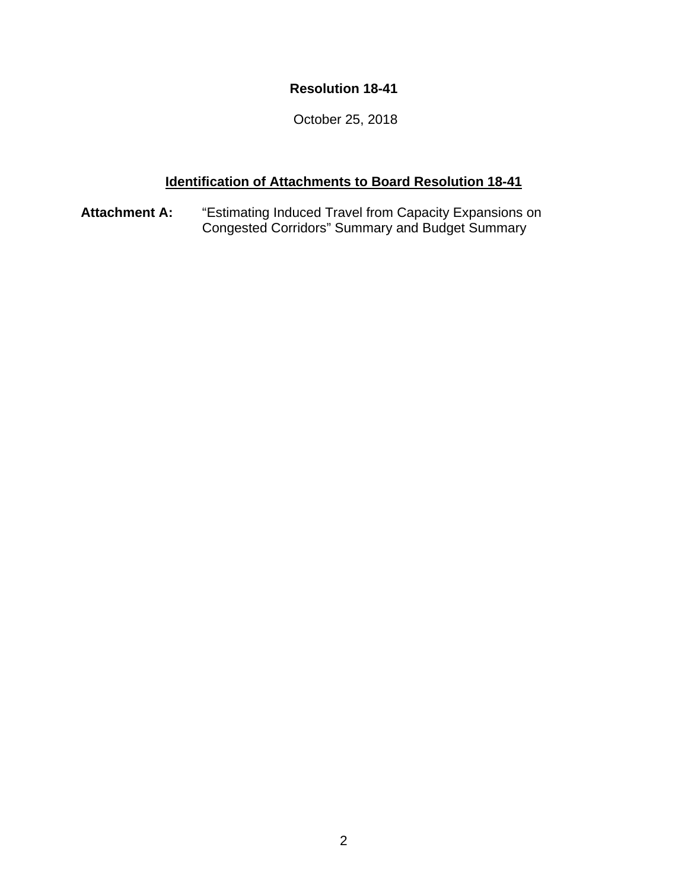## **Resolution 18-41**

October 25, 2018

# **Identification of Attachments to Board Resolution 18-41**

**Attachment A:** "Estimating Induced Travel from Capacity Expansions on Congested Corridors" Summary and Budget Summary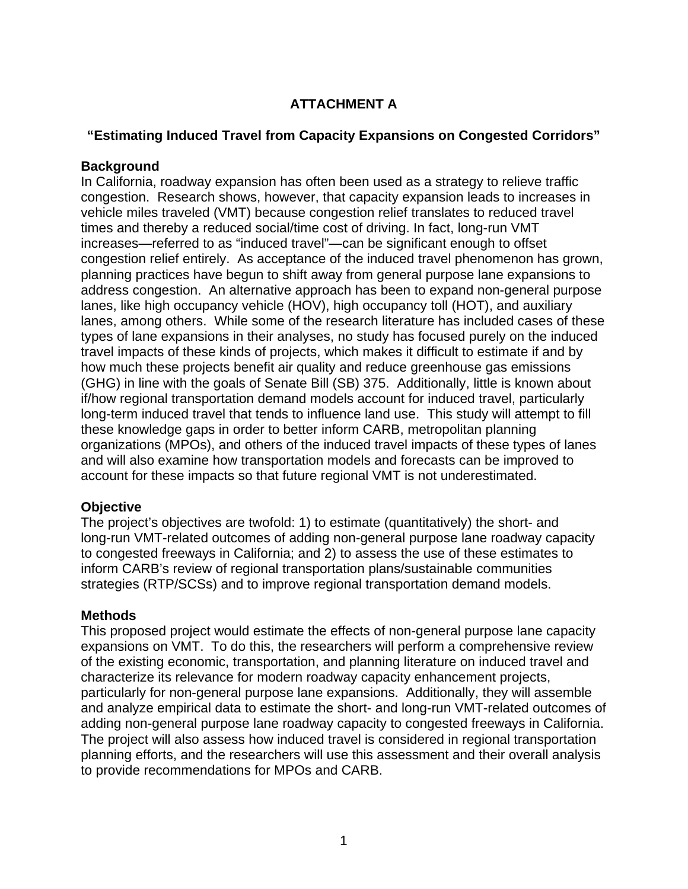# **ATTACHMENT A**

## **"Estimating Induced Travel from Capacity Expansions on Congested Corridors"**

## **Background**

In California, roadway expansion has often been used as a strategy to relieve traffic congestion. Research shows, however, that capacity expansion leads to increases in vehicle miles traveled (VMT) because congestion relief translates to reduced travel times and thereby a reduced social/time cost of driving. In fact, long-run VMT increases—referred to as "induced travel"—can be significant enough to offset congestion relief entirely. As acceptance of the induced travel phenomenon has grown, planning practices have begun to shift away from general purpose lane expansions to address congestion. An alternative approach has been to expand non-general purpose lanes, like high occupancy vehicle (HOV), high occupancy toll (HOT), and auxiliary lanes, among others. While some of the research literature has included cases of these types of lane expansions in their analyses, no study has focused purely on the induced travel impacts of these kinds of projects, which makes it difficult to estimate if and by how much these projects benefit air quality and reduce greenhouse gas emissions (GHG) in line with the goals of Senate Bill (SB) 375. Additionally, little is known about if/how regional transportation demand models account for induced travel, particularly long-term induced travel that tends to influence land use. This study will attempt to fill these knowledge gaps in order to better inform CARB, metropolitan planning organizations (MPOs), and others of the induced travel impacts of these types of lanes and will also examine how transportation models and forecasts can be improved to account for these impacts so that future regional VMT is not underestimated.

## **Objective**

The project's objectives are twofold: 1) to estimate (quantitatively) the short- and long-run VMT-related outcomes of adding non-general purpose lane roadway capacity to congested freeways in California; and 2) to assess the use of these estimates to inform CARB's review of regional transportation plans/sustainable communities strategies (RTP/SCSs) and to improve regional transportation demand models.

## **Methods**

This proposed project would estimate the effects of non-general purpose lane capacity expansions on VMT. To do this, the researchers will perform a comprehensive review of the existing economic, transportation, and planning literature on induced travel and characterize its relevance for modern roadway capacity enhancement projects, particularly for non-general purpose lane expansions. Additionally, they will assemble and analyze empirical data to estimate the short- and long-run VMT-related outcomes of adding non-general purpose lane roadway capacity to congested freeways in California. The project will also assess how induced travel is considered in regional transportation planning efforts, and the researchers will use this assessment and their overall analysis to provide recommendations for MPOs and CARB.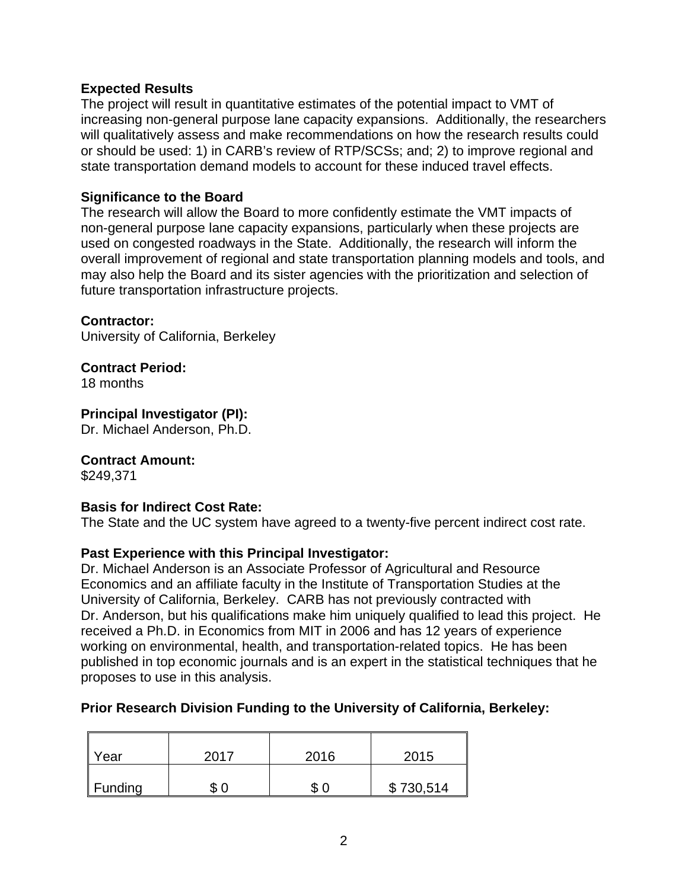## **Expected Results**

The project will result in quantitative estimates of the potential impact to VMT of increasing non-general purpose lane capacity expansions. Additionally, the researchers will qualitatively assess and make recommendations on how the research results could or should be used: 1) in CARB's review of RTP/SCSs; and; 2) to improve regional and state transportation demand models to account for these induced travel effects.

#### **Significance to the Board**

The research will allow the Board to more confidently estimate the VMT impacts of non-general purpose lane capacity expansions, particularly when these projects are used on congested roadways in the State. Additionally, the research will inform the overall improvement of regional and state transportation planning models and tools, and may also help the Board and its sister agencies with the prioritization and selection of future transportation infrastructure projects.

#### **Contractor:**

University of California, Berkeley

**Contract Period:**

18 months

#### **Principal Investigator (PI):**

Dr. Michael Anderson, Ph.D.

## **Contract Amount:**

\$249,371

#### **Basis for Indirect Cost Rate:**

The State and the UC system have agreed to a twenty-five percent indirect cost rate.

## **Past Experience with this Principal Investigator:**

Dr. Michael Anderson is an Associate Professor of Agricultural and Resource Economics and an affiliate faculty in the Institute of Transportation Studies at the University of California, Berkeley. CARB has not previously contracted with Dr. Anderson, but his qualifications make him uniquely qualified to lead this project. He received a Ph.D. in Economics from MIT in 2006 and has 12 years of experience working on environmental, health, and transportation-related topics. He has been published in top economic journals and is an expert in the statistical techniques that he proposes to use in this analysis.

## **Prior Research Division Funding to the University of California, Berkeley:**

| $\parallel$ Year | 2017        | 2016   | 2015      |
|------------------|-------------|--------|-----------|
| Funding          | ጡ<br>0<br>D | ጥ<br>Œ | \$730,514 |